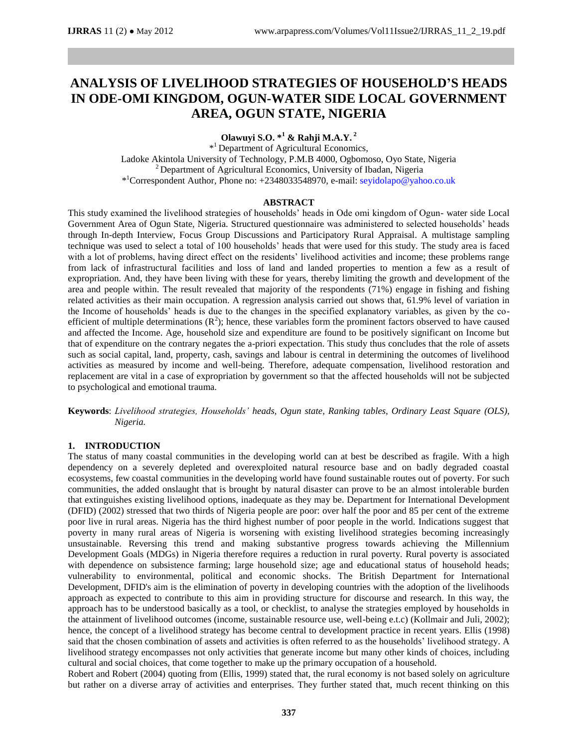# **ANALYSIS OF LIVELIHOOD STRATEGIES OF HOUSEHOLD'S HEADS IN ODE-OMI KINGDOM, OGUN-WATER SIDE LOCAL GOVERNMENT AREA, OGUN STATE, NIGERIA**

**Olawuyi S.O. \* <sup>1</sup> & Rahji M.A.Y. 2**

\* <sup>1</sup> Department of Agricultural Economics, Ladoke Akintola University of Technology, P.M.B 4000, Ogbomoso, Oyo State, Nigeria  $2$  Department of Agricultural Economics, University of Ibadan, Nigeria \* <sup>1</sup>Correspondent Author, Phone no: +2348033548970, e-mail: [seyidolapo@yahoo.co.uk](mailto:seyidolapo@yahoo.co.uk)

#### **ABSTRACT**

This study examined the livelihood strategies of households' heads in Ode omi kingdom of Ogun- water side Local Government Area of Ogun State, Nigeria. Structured questionnaire was administered to selected households' heads through In-depth Interview, Focus Group Discussions and Participatory Rural Appraisal. A multistage sampling technique was used to select a total of 100 households' heads that were used for this study. The study area is faced with a lot of problems, having direct effect on the residents' livelihood activities and income; these problems range from lack of infrastructural facilities and loss of land and landed properties to mention a few as a result of expropriation. And, they have been living with these for years, thereby limiting the growth and development of the area and people within. The result revealed that majority of the respondents (71%) engage in fishing and fishing related activities as their main occupation. A regression analysis carried out shows that, 61.9% level of variation in the Income of households' heads is due to the changes in the specified explanatory variables, as given by the coefficient of multiple determinations  $(R^2)$ ; hence, these variables form the prominent factors observed to have caused and affected the Income. Age, household size and expenditure are found to be positively significant on Income but that of expenditure on the contrary negates the a-priori expectation. This study thus concludes that the role of assets such as social capital, land, property, cash, savings and labour is central in determining the outcomes of livelihood activities as measured by income and well-being. Therefore, adequate compensation, livelihood restoration and replacement are vital in a case of expropriation by government so that the affected households will not be subjected to psychological and emotional trauma.

**Keywords**: *Livelihood strategies, Households' heads, Ogun state, Ranking tables, Ordinary Least Square (OLS), Nigeria.*

#### **1. INTRODUCTION**

The status of many coastal communities in the developing world can at best be described as fragile. With a high dependency on a severely depleted and overexploited natural resource base and on badly degraded coastal ecosystems, few coastal communities in the developing world have found sustainable routes out of poverty. For such communities, the added onslaught that is brought by natural disaster can prove to be an almost intolerable burden that extinguishes existing livelihood options, inadequate as they may be. Department for International Development (DFID) (2002) stressed that two thirds of Nigeria people are poor: over half the poor and 85 per cent of the extreme poor live in rural areas. Nigeria has the third highest number of poor people in the world. Indications suggest that poverty in many rural areas of Nigeria is worsening with existing livelihood strategies becoming increasingly unsustainable. Reversing this trend and making substantive progress towards achieving the Millennium Development Goals (MDGs) in Nigeria therefore requires a reduction in rural poverty. Rural poverty is associated with dependence on subsistence farming; large household size; age and educational status of household heads; vulnerability to environmental, political and economic shocks. The British Department for International Development, DFID's aim is the elimination of poverty in developing countries with the adoption of the livelihoods approach as expected to contribute to this aim in providing structure for discourse and research. In this way, the approach has to be understood basically as a tool, or checklist, to analyse the strategies employed by households in the attainment of livelihood outcomes (income, sustainable resource use, well-being e.t.c) (Kollmair and Juli, 2002); hence, the concept of a livelihood strategy has become central to development practice in recent years. Ellis (1998) said that the chosen combination of assets and activities is often referred to as the households' livelihood strategy. A livelihood strategy encompasses not only activities that generate income but many other kinds of choices, including cultural and social choices, that come together to make up the primary occupation of a household.

Robert and Robert (2004) quoting from (Ellis, 1999) stated that, the rural economy is not based solely on agriculture but rather on a diverse array of activities and enterprises. They further stated that, much recent thinking on this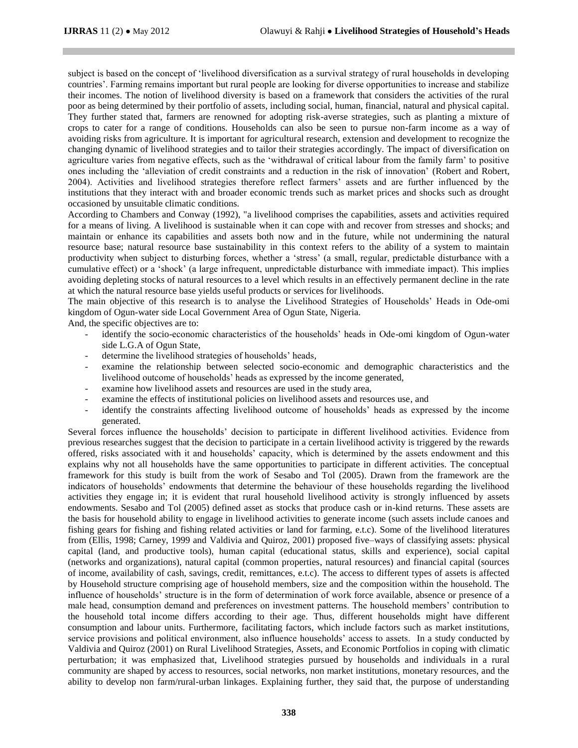subject is based on the concept of 'livelihood diversification as a survival strategy of rural households in developing countries'. Farming remains important but rural people are looking for diverse opportunities to increase and stabilize their incomes. The notion of livelihood diversity is based on a framework that considers the activities of the rural poor as being determined by their portfolio of assets, including social, human, financial, natural and physical capital. They further stated that, farmers are renowned for adopting risk-averse strategies, such as planting a mixture of crops to cater for a range of conditions. Households can also be seen to pursue non-farm income as a way of avoiding risks from agriculture. It is important for agricultural research, extension and development to recognize the changing dynamic of livelihood strategies and to tailor their strategies accordingly. The impact of diversification on agriculture varies from negative effects, such as the 'withdrawal of critical labour from the family farm' to positive ones including the 'alleviation of credit constraints and a reduction in the risk of innovation' (Robert and Robert, 2004). Activities and livelihood strategies therefore reflect farmers' assets and are further influenced by the institutions that they interact with and broader economic trends such as market prices and shocks such as drought occasioned by unsuitable climatic conditions.

According to Chambers and Conway (1992), "a livelihood comprises the capabilities, assets and activities required for a means of living. A livelihood is sustainable when it can cope with and recover from stresses and shocks; and maintain or enhance its capabilities and assets both now and in the future, while not undermining the natural resource base; natural resource base sustainability in this context refers to the ability of a system to maintain productivity when subject to disturbing forces, whether a 'stress' (a small, regular, predictable disturbance with a cumulative effect) or a 'shock' (a large infrequent, unpredictable disturbance with immediate impact). This implies avoiding depleting stocks of natural resources to a level which results in an effectively permanent decline in the rate at which the natural resource base yields useful products or services for livelihoods.

The main objective of this research is to analyse the Livelihood Strategies of Households' Heads in Ode-omi kingdom of Ogun-water side Local Government Area of Ogun State, Nigeria.

And, the specific objectives are to:

- identify the socio-economic characteristics of the households' heads in Ode-omi kingdom of Ogun-water side L.G.A of Ogun State,
- determine the livelihood strategies of households' heads,
- examine the relationship between selected socio-economic and demographic characteristics and the livelihood outcome of households' heads as expressed by the income generated,
- examine how livelihood assets and resources are used in the study area,
- examine the effects of institutional policies on livelihood assets and resources use, and
- identify the constraints affecting livelihood outcome of households' heads as expressed by the income generated.

Several forces influence the households' decision to participate in different livelihood activities. Evidence from previous researches suggest that the decision to participate in a certain livelihood activity is triggered by the rewards offered, risks associated with it and households' capacity, which is determined by the assets endowment and this explains why not all households have the same opportunities to participate in different activities. The conceptual framework for this study is built from the work of Sesabo and Tol (2005). Drawn from the framework are the indicators of households' endowments that determine the behaviour of these households regarding the livelihood activities they engage in; it is evident that rural household livelihood activity is strongly influenced by assets endowments. Sesabo and Tol (2005) defined asset as stocks that produce cash or in-kind returns. These assets are the basis for household ability to engage in livelihood activities to generate income (such assets include canoes and fishing gears for fishing and fishing related activities or land for farming, e.t.c). Some of the livelihood literatures from (Ellis, 1998; Carney, 1999 and Valdivia and Quiroz, 2001) proposed five–ways of classifying assets: physical capital (land, and productive tools), human capital (educational status, skills and experience), social capital (networks and organizations), natural capital (common properties, natural resources) and financial capital (sources of income, availability of cash, savings, credit, remittances, e.t.c). The access to different types of assets is affected by Household structure comprising age of household members, size and the composition within the household. The influence of households' structure is in the form of determination of work force available, absence or presence of a male head, consumption demand and preferences on investment patterns. The household members' contribution to the household total income differs according to their age. Thus, different households might have different consumption and labour units. Furthermore, facilitating factors, which include factors such as market institutions, service provisions and political environment, also influence households' access to assets. In a study conducted by Valdivia and Quiroz (2001) on Rural Livelihood Strategies, Assets, and Economic Portfolios in coping with climatic perturbation; it was emphasized that, Livelihood strategies pursued by households and individuals in a rural community are shaped by access to resources, social networks, non market institutions, monetary resources, and the ability to develop non farm/rural-urban linkages. Explaining further, they said that, the purpose of understanding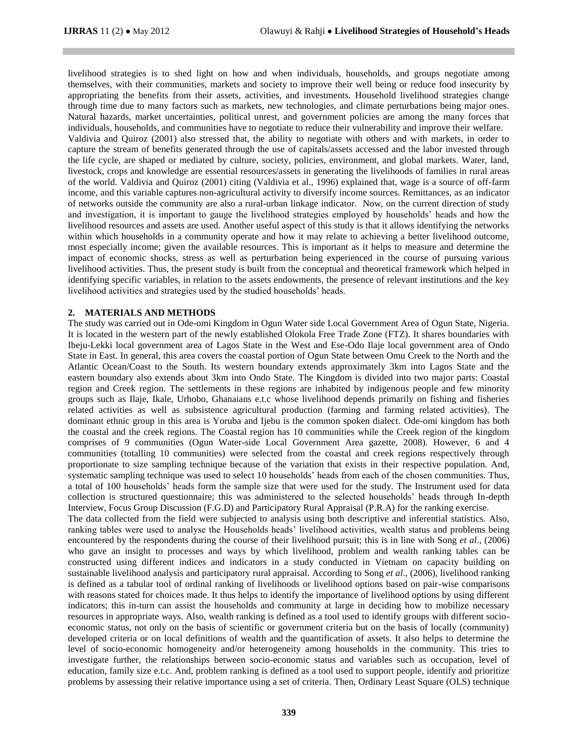livelihood strategies is to shed light on how and when individuals, households, and groups negotiate among themselves, with their communities, markets and society to improve their well being or reduce food insecurity by appropriating the benefits from their assets, activities, and investments. Household livelihood strategies change through time due to many factors such as markets, new technologies, and climate perturbations being major ones. Natural hazards, market uncertainties, political unrest, and government policies are among the many forces that individuals, households, and communities have to negotiate to reduce their vulnerability and improve their welfare. Valdivia and Quiroz (2001) also stressed that, the ability to negotiate with others and with markets, in order to capture the stream of benefits generated through the use of capitals/assets accessed and the labor invested through the life cycle, are shaped or mediated by culture, society, policies, environment, and global markets. Water, land, livestock, crops and knowledge are essential resources/assets in generating the livelihoods of families in rural areas of the world. Valdivia and Quiroz (2001) citing (Valdivia et al., 1996) explained that, wage is a source of off-farm income, and this variable captures non-agricultural activity to diversify income sources. Remittances, as an indicator of networks outside the community are also a rural-urban linkage indicator. Now, on the current direction of study and investigation, it is important to gauge the livelihood strategies employed by households' heads and how the livelihood resources and assets are used. Another useful aspect of this study is that it allows identifying the networks within which households in a community operate and how it may relate to achieving a better livelihood outcome, most especially income; given the available resources. This is important as it helps to measure and determine the impact of economic shocks, stress as well as perturbation being experienced in the course of pursuing various livelihood activities. Thus, the present study is built from the conceptual and theoretical framework which helped in identifying specific variables, in relation to the assets endowments, the presence of relevant institutions and the key livelihood activities and strategies used by the studied households' heads.

#### **2. MATERIALS AND METHODS**

The study was carried out in Ode-omi Kingdom in Ogun Water side Local Government Area of Ogun State, Nigeria. It is located in the western part of the newly established Olokola Free Trade Zone (FTZ). It shares boundaries with Ibeju-Lekki local government area of Lagos State in the West and Ese-Odo Ilaje local government area of Ondo State in East. In general, this area covers the coastal portion of Ogun State between Omu Creek to the North and the Atlantic Ocean/Coast to the South. Its western boundary extends approximately 3km into Lagos State and the eastern boundary also extends about 3km into Ondo State. The Kingdom is divided into two major parts: Coastal region and Creek region. The settlements in these regions are inhabited by indigenous people and few minority groups such as Ilaje, Ikale, Urhobo, Ghanaians e.t.c whose livelihood depends primarily on fishing and fisheries related activities as well as subsistence agricultural production (farming and farming related activities). The dominant ethnic group in this area is Yoruba and Ijebu is the common spoken dialect. Ode-omi kingdom has both the coastal and the creek regions. The Coastal region has 10 communities while the Creek region of the kingdom comprises of 9 communities (Ogun Water-side Local Government Area gazette, 2008). However, 6 and 4 communities (totalling 10 communities) were selected from the coastal and creek regions respectively through proportionate to size sampling technique because of the variation that exists in their respective population. And, systematic sampling technique was used to select 10 households' heads from each of the chosen communities. Thus, a total of 100 households' heads form the sample size that were used for the study. The Instrument used for data collection is structured questionnaire; this was administered to the selected households' heads through In-depth Interview, Focus Group Discussion (F.G.D) and Participatory Rural Appraisal (P.R.A) for the ranking exercise.

The data collected from the field were subjected to analysis using both descriptive and inferential statistics. Also, ranking tables were used to analyse the Households heads' livelihood activities, wealth status and problems being encountered by the respondents during the course of their livelihood pursuit; this is in line with Song *et al*., (2006) who gave an insight to processes and ways by which livelihood, problem and wealth ranking tables can be constructed using different indices and indicators in a study conducted in Vietnam on capacity building on sustainable livelihood analysis and participatory rural appraisal. According to Song *et al*., (2006), livelihood ranking is defined as a tabular tool of ordinal ranking of livelihoods or livelihood options based on pair-wise comparisons with reasons stated for choices made. It thus helps to identify the importance of livelihood options by using different indicators; this in-turn can assist the households and community at large in deciding how to mobilize necessary resources in appropriate ways. Also, wealth ranking is defined as a tool used to identify groups with different socioeconomic status, not only on the basis of scientific or government criteria but on the basis of locally (community) developed criteria or on local definitions of wealth and the quantification of assets. It also helps to determine the level of socio-economic homogeneity and/or heterogeneity among households in the community. This tries to investigate further, the relationships between socio-economic status and variables such as occupation, level of education, family size e.t.c. And, problem ranking is defined as a tool used to support people, identify and prioritize problems by assessing their relative importance using a set of criteria. Then, Ordinary Least Square (OLS) technique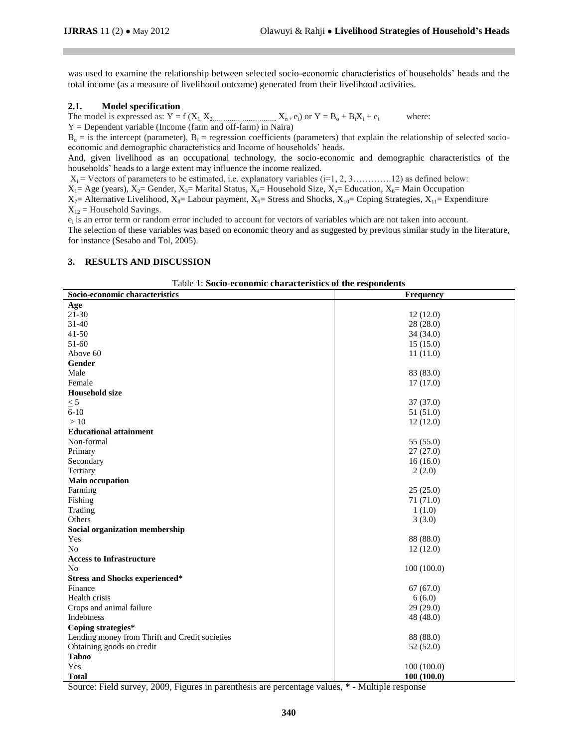was used to examine the relationship between selected socio-economic characteristics of households' heads and the total income (as a measure of livelihood outcome) generated from their livelihood activities.

#### **2.1. Model specification**

The model is expressed as:  $Y = f(X_1, X_2, \dots, X_n, e_i)$  or  $Y = B_0 + B_1X_1 + e_1$ where:

Y = Dependent variable (Income (farm and off-farm) in Naira)

 $B_0$  = is the intercept (parameter),  $B_i$  = regression coefficients (parameters) that explain the relationship of selected socioeconomic and demographic characteristics and Income of households' heads.

And, given livelihood as an occupational technology, the socio-economic and demographic characteristics of the households' heads to a large extent may influence the income realized.

X<sup>i</sup> = Vectors of parameters to be estimated, i.e. explanatory variables (i=1, 2, 3………….12) as defined below:

 $X_1 = Age$  (years),  $X_2 = Gender$ ,  $X_3 = Marital Status$ ,  $X_4 = Household Size$ ,  $X_5 = Education$ ,  $X_6 = Main Occupation$ 

 $X_7$ = Alternative Livelihood,  $X_8$ = Labour payment,  $X_9$ = Stress and Shocks,  $X_{10}$ = Coping Strategies,  $X_{11}$ = Expenditure  $X_{12}$  = Household Savings.

 $e_i$  is an error term or random error included to account for vectors of variables which are not taken into account. The selection of these variables was based on economic theory and as suggested by previous similar study in the literature, for instance (Sesabo and Tol, 2005).

#### **3. RESULTS AND DISCUSSION**

| Table 1: Socio-economic characteristics of the respondents |                  |  |  |  |  |  |
|------------------------------------------------------------|------------------|--|--|--|--|--|
| Socio-economic characteristics                             | <b>Frequency</b> |  |  |  |  |  |
| Age                                                        |                  |  |  |  |  |  |
| $21 - 30$                                                  | 12(12.0)         |  |  |  |  |  |
| $31 - 40$                                                  | 28 (28.0)        |  |  |  |  |  |
| $41 - 50$                                                  | 34(34.0)         |  |  |  |  |  |
| $51-60$                                                    | 15(15.0)         |  |  |  |  |  |
| Above 60                                                   | 11(11.0)         |  |  |  |  |  |
| Gender                                                     |                  |  |  |  |  |  |
| Male                                                       | 83 (83.0)        |  |  |  |  |  |
| Female                                                     | 17(17.0)         |  |  |  |  |  |
| <b>Household size</b>                                      |                  |  |  |  |  |  |
| $\leq$ 5                                                   | 37 (37.0)        |  |  |  |  |  |
| $6 - 10$                                                   | 51 (51.0)        |  |  |  |  |  |
| >10                                                        | 12(12.0)         |  |  |  |  |  |
| <b>Educational attainment</b>                              |                  |  |  |  |  |  |
| Non-formal                                                 | 55 (55.0)        |  |  |  |  |  |
| Primary                                                    | 27(27.0)         |  |  |  |  |  |
| Secondary                                                  | 16(16.0)         |  |  |  |  |  |
| Tertiary                                                   | 2(2.0)           |  |  |  |  |  |
| <b>Main occupation</b>                                     |                  |  |  |  |  |  |
| Farming                                                    | 25(25.0)         |  |  |  |  |  |
| Fishing                                                    | 71 (71.0)        |  |  |  |  |  |
| Trading                                                    | 1(1.0)           |  |  |  |  |  |
| Others                                                     | 3(3.0)           |  |  |  |  |  |
| Social organization membership                             |                  |  |  |  |  |  |
| Yes                                                        | 88 (88.0)        |  |  |  |  |  |
| N <sub>o</sub>                                             | 12(12.0)         |  |  |  |  |  |
| <b>Access to Infrastructure</b>                            |                  |  |  |  |  |  |
| No                                                         | 100(100.0)       |  |  |  |  |  |
| <b>Stress and Shocks experienced*</b>                      |                  |  |  |  |  |  |
| Finance                                                    | 67(67.0)         |  |  |  |  |  |
| Health crisis                                              | 6(6.0)           |  |  |  |  |  |
| Crops and animal failure                                   | 29(29.0)         |  |  |  |  |  |
| Indebtness                                                 | 48 (48.0)        |  |  |  |  |  |
| Coping strategies*                                         |                  |  |  |  |  |  |
| Lending money from Thrift and Credit societies             | 88 (88.0)        |  |  |  |  |  |
| Obtaining goods on credit                                  | 52 (52.0)        |  |  |  |  |  |
| <b>Taboo</b>                                               |                  |  |  |  |  |  |
| Yes                                                        | 100(100.0)       |  |  |  |  |  |
| <b>Total</b>                                               | 100(100.0)       |  |  |  |  |  |

Table 1: **Socio-economic characteristics of the respondents**

Source: Field survey, 2009, Figures in parenthesis are percentage values, **\*** - Multiple response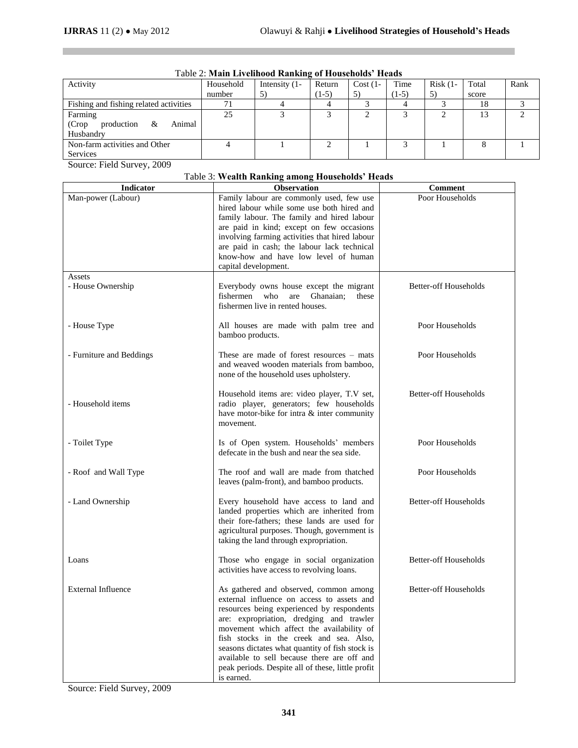$\mathbb{R}^3$ 

| Activity                               | Household | Intensity $(1 -$ | Return  | $Cost(1-$ | Time    | $Risk(1-$ | Total | Rank |
|----------------------------------------|-----------|------------------|---------|-----------|---------|-----------|-------|------|
|                                        | number    | 5)               | $(1-5)$ | 5)        | $(1-5)$ | 5)        | score |      |
| Fishing and fishing related activities |           |                  |         |           |         |           | 18    |      |
| Farming                                | 25        |                  |         |           |         |           | 13    |      |
| production<br>(Crop)<br>Animal<br>&    |           |                  |         |           |         |           |       |      |
| Husbandry                              |           |                  |         |           |         |           |       |      |
| Non-farm activities and Other          |           |                  |         |           |         |           |       |      |
| Services                               |           |                  |         |           |         |           |       |      |

# Table 2: **Main Livelihood Ranking of Households' Heads**

Source: Field Survey, 2009

# Table 3: **Wealth Ranking among Households' Heads**

| <b>Indicator</b>          | <b>Observation</b>                                                                                                                                                                                                                                                                                                                                                                                                                          | <b>Comment</b>               |
|---------------------------|---------------------------------------------------------------------------------------------------------------------------------------------------------------------------------------------------------------------------------------------------------------------------------------------------------------------------------------------------------------------------------------------------------------------------------------------|------------------------------|
| Man-power (Labour)        | Family labour are commonly used, few use<br>hired labour while some use both hired and<br>family labour. The family and hired labour<br>are paid in kind; except on few occasions                                                                                                                                                                                                                                                           | Poor Households              |
|                           | involving farming activities that hired labour<br>are paid in cash; the labour lack technical<br>know-how and have low level of human<br>capital development.                                                                                                                                                                                                                                                                               |                              |
| Assets                    |                                                                                                                                                                                                                                                                                                                                                                                                                                             |                              |
| - House Ownership         | Everybody owns house except the migrant<br>fishermen<br>who<br>Ghanaian:<br>are<br>these<br>fishermen live in rented houses.                                                                                                                                                                                                                                                                                                                | <b>Better-off Households</b> |
| - House Type              | All houses are made with palm tree and<br>bamboo products.                                                                                                                                                                                                                                                                                                                                                                                  | Poor Households              |
| - Furniture and Beddings  | These are made of forest resources $-$ mats<br>and weaved wooden materials from bamboo,<br>none of the household uses upholstery.                                                                                                                                                                                                                                                                                                           | Poor Households              |
| - Household items         | Household items are: video player, T.V set,<br>radio player, generators; few households<br>have motor-bike for intra & inter community<br>movement.                                                                                                                                                                                                                                                                                         | <b>Better-off Households</b> |
| - Toilet Type             | Is of Open system. Households' members<br>defecate in the bush and near the sea side.                                                                                                                                                                                                                                                                                                                                                       | Poor Households              |
| - Roof and Wall Type      | The roof and wall are made from thatched<br>leaves (palm-front), and bamboo products.                                                                                                                                                                                                                                                                                                                                                       | Poor Households              |
| - Land Ownership          | Every household have access to land and<br>landed properties which are inherited from<br>their fore-fathers; these lands are used for<br>agricultural purposes. Though, government is<br>taking the land through expropriation.                                                                                                                                                                                                             | <b>Better-off Households</b> |
| Loans                     | Those who engage in social organization<br>activities have access to revolving loans.                                                                                                                                                                                                                                                                                                                                                       | <b>Better-off Households</b> |
| <b>External Influence</b> | As gathered and observed, common among<br>external influence on access to assets and<br>resources being experienced by respondents<br>are: expropriation, dredging and trawler<br>movement which affect the availability of<br>fish stocks in the creek and sea. Also,<br>seasons dictates what quantity of fish stock is<br>available to sell because there are off and<br>peak periods. Despite all of these, little profit<br>is earned. | <b>Better-off Households</b> |

Source: Field Survey, 2009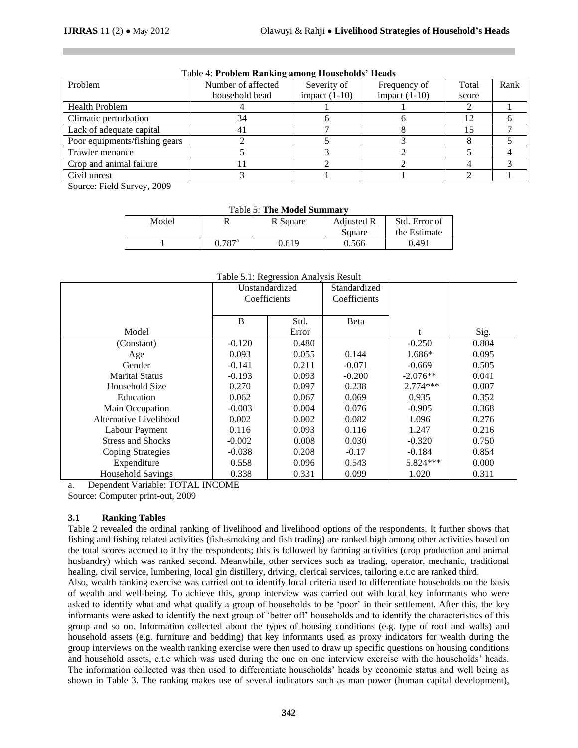|                                                     | INCIP IT I LOWIGHT INMINISH, WILCOME IIOWODDUMO IIOWWA |                 |                 |       |      |
|-----------------------------------------------------|--------------------------------------------------------|-----------------|-----------------|-------|------|
| Problem                                             | Number of affected                                     | Severity of     | Frequency of    | Total | Rank |
|                                                     | household head                                         | impact $(1-10)$ | impact $(1-10)$ | score |      |
| <b>Health Problem</b>                               |                                                        |                 |                 |       |      |
| Climatic perturbation                               | 34                                                     |                 |                 | 12    |      |
| Lack of adequate capital                            | 41                                                     |                 |                 | 15    |      |
| Poor equipments/fishing gears                       |                                                        |                 |                 |       |      |
| Trawler menance                                     |                                                        |                 |                 |       |      |
| Crop and animal failure                             |                                                        |                 |                 |       |      |
| Civil unrest                                        |                                                        |                 |                 |       |      |
| $\sim$ $\sim$ $\sim$<br>$\sim$ $\sim$ $\sim$ $\sim$ |                                                        |                 |                 |       |      |

#### Table 4: **Problem Ranking among Households' Heads**

Source: Field Survey, 2009

|  | <b>Table 5: The Model Summary</b> |  |  |
|--|-----------------------------------|--|--|
|  |                                   |  |  |

| Model |                      | R Square | Adjusted R | Std. Error of |  |
|-------|----------------------|----------|------------|---------------|--|
|       |                      |          | Square     | the Estimate  |  |
|       | $0.787$ <sup>a</sup> | 0.619    | 0.566      | 9.491         |  |

|                          | Unstandardized<br>Coefficients |       | Standardized<br>Coefficients |            |       |
|--------------------------|--------------------------------|-------|------------------------------|------------|-------|
|                          | B<br>Std.                      |       | Beta                         |            |       |
| Model                    |                                | Error |                              |            | Sig.  |
| (Constant)               | $-0.120$                       | 0.480 |                              | $-0.250$   | 0.804 |
| Age                      | 0.093                          | 0.055 | 0.144                        | 1.686*     | 0.095 |
| Gender                   | $-0.141$                       | 0.211 | $-0.071$                     | $-0.669$   | 0.505 |
| <b>Marital Status</b>    | $-0.193$                       | 0.093 | $-0.200$                     | $-2.076**$ | 0.041 |
| Household Size           | 0.270                          | 0.097 | 0.238                        | $2.774***$ | 0.007 |
| Education                | 0.062                          | 0.067 | 0.069                        | 0.935      | 0.352 |
| Main Occupation          | $-0.003$                       | 0.004 | 0.076                        | $-0.905$   | 0.368 |
| Alternative Livelihood   | 0.002                          | 0.002 | 0.082                        | 1.096      | 0.276 |
| Labour Payment           | 0.116                          | 0.093 | 0.116                        | 1.247      | 0.216 |
| <b>Stress and Shocks</b> | $-0.002$                       | 0.008 | 0.030                        | $-0.320$   | 0.750 |
| Coping Strategies        | $-0.038$                       | 0.208 | $-0.17$                      | $-0.184$   | 0.854 |
| Expenditure              | 0.558                          | 0.096 | 0.543                        | 5.824***   | 0.000 |
| <b>Household Savings</b> | 0.338                          | 0.331 | 0.099                        | 1.020      | 0.311 |

#### Table 5.1: Regression Analysis Result

a. Dependent Variable: TOTAL INCOME

Source: Computer print-out, 2009

#### **3.1 Ranking Tables**

Table 2 revealed the ordinal ranking of livelihood and livelihood options of the respondents. It further shows that fishing and fishing related activities (fish-smoking and fish trading) are ranked high among other activities based on the total scores accrued to it by the respondents; this is followed by farming activities (crop production and animal husbandry) which was ranked second. Meanwhile, other services such as trading, operator, mechanic, traditional healing, civil service, lumbering, local gin distillery, driving, clerical services, tailoring e.t.c are ranked third.

Also, wealth ranking exercise was carried out to identify local criteria used to differentiate households on the basis of wealth and well-being. To achieve this, group interview was carried out with local key informants who were asked to identify what and what qualify a group of households to be 'poor' in their settlement. After this, the key informants were asked to identify the next group of 'better off' households and to identify the characteristics of this group and so on. Information collected about the types of housing conditions (e.g. type of roof and walls) and household assets (e.g. furniture and bedding) that key informants used as proxy indicators for wealth during the group interviews on the wealth ranking exercise were then used to draw up specific questions on housing conditions and household assets, e.t.c which was used during the one on one interview exercise with the households' heads. The information collected was then used to differentiate households' heads by economic status and well being as shown in Table 3. The ranking makes use of several indicators such as man power (human capital development),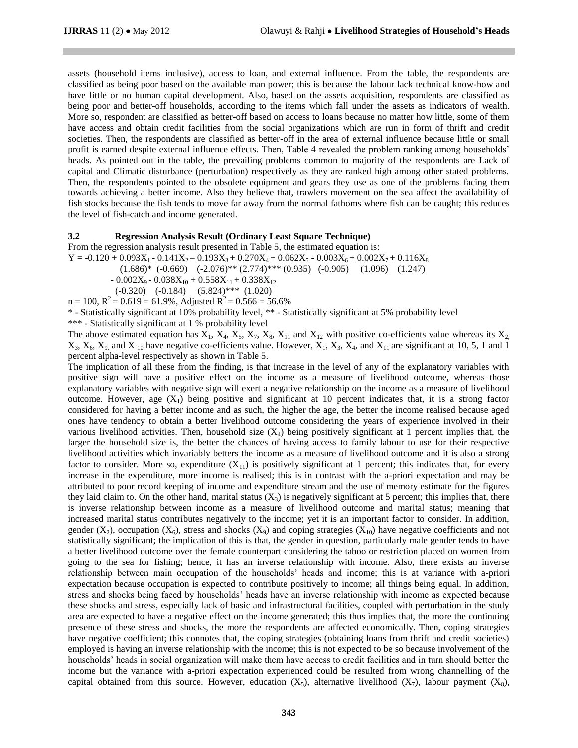assets (household items inclusive), access to loan, and external influence. From the table, the respondents are classified as being poor based on the available man power; this is because the labour lack technical know-how and have little or no human capital development. Also, based on the assets acquisition, respondents are classified as being poor and better-off households, according to the items which fall under the assets as indicators of wealth. More so, respondent are classified as better-off based on access to loans because no matter how little, some of them have access and obtain credit facilities from the social organizations which are run in form of thrift and credit societies. Then, the respondents are classified as better-off in the area of external influence because little or small profit is earned despite external influence effects. Then, Table 4 revealed the problem ranking among households' heads. As pointed out in the table, the prevailing problems common to majority of the respondents are Lack of capital and Climatic disturbance (perturbation) respectively as they are ranked high among other stated problems. Then, the respondents pointed to the obsolete equipment and gears they use as one of the problems facing them towards achieving a better income. Also they believe that, trawlers movement on the sea affect the availability of fish stocks because the fish tends to move far away from the normal fathoms where fish can be caught; this reduces the level of fish-catch and income generated.

#### **3.2 Regression Analysis Result (Ordinary Least Square Technique)**

From the regression analysis result presented in Table 5, the estimated equation is:

 $Y = -0.120 + 0.093X_1 - 0.141X_2 - 0.193X_3 + 0.270X_4 + 0.062X_5 - 0.003X_6 + 0.002X_7 + 0.116X_8$ 

 $(1.686)*(-0.669)$   $(-2.076)**(2.774)***(0.935)$   $(-0.905)$   $(1.096)$   $(1.247)$ 

- 0.002 $X_9$  - 0.038 $X_{10}$  + 0.558 $X_{11}$  + 0.338 $X_{12}$ 

(-0.320) (-0.184) (5.824)\*\*\* (1.020)

 $n = 100$ ,  $R^2 = 0.619 = 61.9\%$ , Adjusted  $R^2 = 0.566 = 56.6\%$ 

\* - Statistically significant at 10% probability level, \*\* - Statistically significant at 5% probability level

\*\*\* - Statistically significant at 1 % probability level

The above estimated equation has  $X_1$ ,  $X_4$ ,  $X_5$ ,  $X_7$ ,  $X_8$ ,  $X_{11}$  and  $X_{12}$  with positive co-efficients value whereas its  $X_2$ ,  $X_3, X_6, X_9$  and  $X_{10}$  have negative co-efficients value. However,  $X_1, X_3, X_4$ , and  $X_{11}$  are significant at 10, 5, 1 and 1 percent alpha-level respectively as shown in Table 5.

The implication of all these from the finding, is that increase in the level of any of the explanatory variables with positive sign will have a positive effect on the income as a measure of livelihood outcome, whereas those explanatory variables with negative sign will exert a negative relationship on the income as a measure of livelihood outcome. However, age  $(X_1)$  being positive and significant at 10 percent indicates that, it is a strong factor considered for having a better income and as such, the higher the age, the better the income realised because aged ones have tendency to obtain a better livelihood outcome considering the years of experience involved in their various livelihood activities. Then, household size  $(X_4)$  being positively significant at 1 percent implies that, the larger the household size is, the better the chances of having access to family labour to use for their respective livelihood activities which invariably betters the income as a measure of livelihood outcome and it is also a strong factor to consider. More so, expenditure  $(X_{11})$  is positively significant at 1 percent; this indicates that, for every increase in the expenditure, more income is realised; this is in contrast with the a-priori expectation and may be attributed to poor record keeping of income and expenditure stream and the use of memory estimate for the figures they laid claim to. On the other hand, marital status  $(X_3)$  is negatively significant at 5 percent; this implies that, there is inverse relationship between income as a measure of livelihood outcome and marital status; meaning that increased marital status contributes negatively to the income; yet it is an important factor to consider. In addition, gender (X<sub>2</sub>), occupation (X<sub>6</sub>), stress and shocks (X<sub>9</sub>) and coping strategies (X<sub>10</sub>) have negative coefficients and not statistically significant; the implication of this is that, the gender in question, particularly male gender tends to have a better livelihood outcome over the female counterpart considering the taboo or restriction placed on women from going to the sea for fishing; hence, it has an inverse relationship with income. Also, there exists an inverse relationship between main occupation of the households' heads and income; this is at variance with a-priori expectation because occupation is expected to contribute positively to income; all things being equal. In addition, stress and shocks being faced by households' heads have an inverse relationship with income as expected because these shocks and stress, especially lack of basic and infrastructural facilities, coupled with perturbation in the study area are expected to have a negative effect on the income generated; this thus implies that, the more the continuing presence of these stress and shocks, the more the respondents are affected economically. Then, coping strategies have negative coefficient; this connotes that, the coping strategies (obtaining loans from thrift and credit societies) employed is having an inverse relationship with the income; this is not expected to be so because involvement of the households' heads in social organization will make them have access to credit facilities and in turn should better the income but the variance with a-priori expectation experienced could be resulted from wrong channelling of the capital obtained from this source. However, education  $(X_5)$ , alternative livelihood  $(X_7)$ , labour payment  $(X_8)$ ,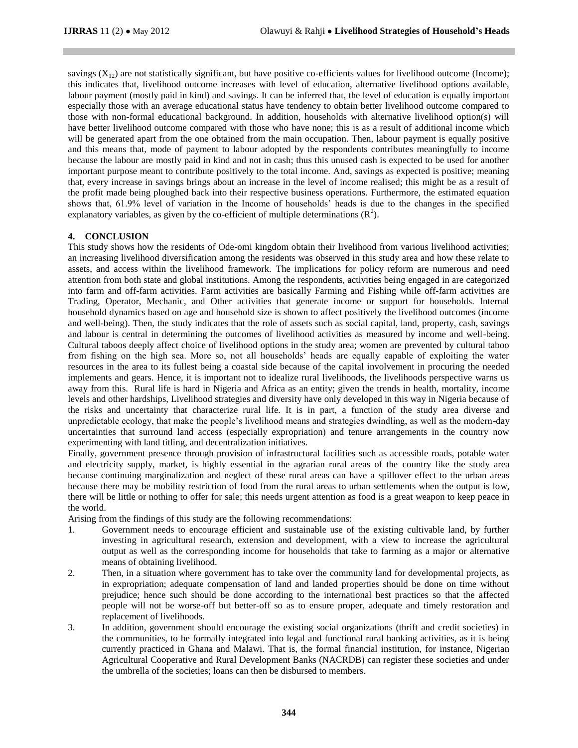savings  $(X_{12})$  are not statistically significant, but have positive co-efficients values for livelihood outcome (Income); this indicates that, livelihood outcome increases with level of education, alternative livelihood options available, labour payment (mostly paid in kind) and savings. It can be inferred that, the level of education is equally important especially those with an average educational status have tendency to obtain better livelihood outcome compared to those with non-formal educational background. In addition, households with alternative livelihood option(s) will have better livelihood outcome compared with those who have none; this is as a result of additional income which will be generated apart from the one obtained from the main occupation. Then, labour payment is equally positive and this means that, mode of payment to labour adopted by the respondents contributes meaningfully to income because the labour are mostly paid in kind and not in cash; thus this unused cash is expected to be used for another important purpose meant to contribute positively to the total income. And, savings as expected is positive; meaning that, every increase in savings brings about an increase in the level of income realised; this might be as a result of the profit made being ploughed back into their respective business operations. Furthermore, the estimated equation shows that, 61.9% level of variation in the Income of households' heads is due to the changes in the specified explanatory variables, as given by the co-efficient of multiple determinations  $(R^2)$ .

## **4. CONCLUSION**

This study shows how the residents of Ode-omi kingdom obtain their livelihood from various livelihood activities; an increasing livelihood diversification among the residents was observed in this study area and how these relate to assets, and access within the livelihood framework. The implications for policy reform are numerous and need attention from both state and global institutions. Among the respondents, activities being engaged in are categorized into farm and off-farm activities. Farm activities are basically Farming and Fishing while off-farm activities are Trading, Operator, Mechanic, and Other activities that generate income or support for households. Internal household dynamics based on age and household size is shown to affect positively the livelihood outcomes (income and well-being). Then, the study indicates that the role of assets such as social capital, land, property, cash, savings and labour is central in determining the outcomes of livelihood activities as measured by income and well-being. Cultural taboos deeply affect choice of livelihood options in the study area; women are prevented by cultural taboo from fishing on the high sea. More so, not all households' heads are equally capable of exploiting the water resources in the area to its fullest being a coastal side because of the capital involvement in procuring the needed implements and gears. Hence, it is important not to idealize rural livelihoods, the livelihoods perspective warns us away from this. Rural life is hard in Nigeria and Africa as an entity; given the trends in health, mortality, income levels and other hardships, Livelihood strategies and diversity have only developed in this way in Nigeria because of the risks and uncertainty that characterize rural life. It is in part, a function of the study area diverse and unpredictable ecology, that make the people's livelihood means and strategies dwindling, as well as the modern-day uncertainties that surround land access (especially expropriation) and tenure arrangements in the country now experimenting with land titling, and decentralization initiatives.

Finally, government presence through provision of infrastructural facilities such as accessible roads, potable water and electricity supply, market, is highly essential in the agrarian rural areas of the country like the study area because continuing marginalization and neglect of these rural areas can have a spillover effect to the urban areas because there may be mobility restriction of food from the rural areas to urban settlements when the output is low, there will be little or nothing to offer for sale; this needs urgent attention as food is a great weapon to keep peace in the world.

Arising from the findings of this study are the following recommendations:

- 1. Government needs to encourage efficient and sustainable use of the existing cultivable land, by further investing in agricultural research, extension and development, with a view to increase the agricultural output as well as the corresponding income for households that take to farming as a major or alternative means of obtaining livelihood.
- 2. Then, in a situation where government has to take over the community land for developmental projects, as in expropriation; adequate compensation of land and landed properties should be done on time without prejudice; hence such should be done according to the international best practices so that the affected people will not be worse-off but better-off so as to ensure proper, adequate and timely restoration and replacement of livelihoods.
- 3. In addition, government should encourage the existing social organizations (thrift and credit societies) in the communities, to be formally integrated into legal and functional rural banking activities, as it is being currently practiced in Ghana and Malawi. That is, the formal financial institution, for instance, Nigerian Agricultural Cooperative and Rural Development Banks (NACRDB) can register these societies and under the umbrella of the societies; loans can then be disbursed to members.